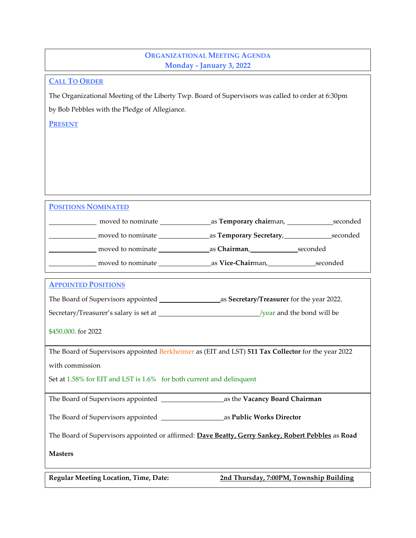## **ORGANIZATIONAL MEETING AGENDA Monday - January 3, 2022**

## **CALL TO ORDER**

The Organizational Meeting of the Liberty Twp. Board of Supervisors was called to order at 6:30pm

by Bob Pebbles with the Pledge of Allegiance.

**PRESENT**

## **POSITIONS NOMINATED**

| moved to nominate | as <b>Temporary chair</b> man, ________<br>seconded |
|-------------------|-----------------------------------------------------|
| moved to nominate | as Temporary Secretary,<br>seconded                 |
| moved to nominate | as Chairman,<br>seconded                            |
| moved to nominate | _as <b>Vice-Chair</b> man,_<br>seconded             |

| <b>APPOINTED POSITIONS</b>                                                                         |  |  |  |
|----------------------------------------------------------------------------------------------------|--|--|--|
| as Secretary/Treasurer for the year 2022.                                                          |  |  |  |
|                                                                                                    |  |  |  |
| \$450,000. for 2022                                                                                |  |  |  |
| The Board of Supervisors appointed Berkheimer as (EIT and LST) 511 Tax Collector for the year 2022 |  |  |  |
| with commission                                                                                    |  |  |  |
| Set at 1.58% for EIT and LST is 1.6% for both current and delinquent                               |  |  |  |
| as the Vacancy Board Chairman                                                                      |  |  |  |
| as Public Works Director                                                                           |  |  |  |
| The Board of Supervisors appointed or affirmed: Dave Beatty, Gerry Sankey, Robert Pebbles as Road  |  |  |  |

**Masters**

**Regular Meeting Location, Time, Date: 2nd Thursday, 7:00PM, Township Building**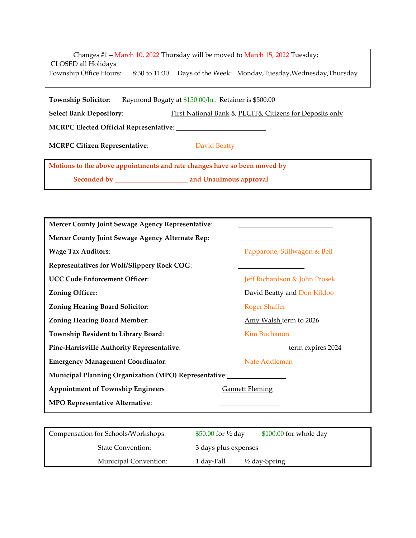|                        |               | Changes #1 – March 10, 2022 Thursday will be moved to March 15, 2022 Tuesday; |
|------------------------|---------------|-------------------------------------------------------------------------------|
| CLOSED all Holidays    |               |                                                                               |
| Township Office Hours: | 8:30 to 11:30 | Days of the Week: Monday, Tuesday, Wednesday, Thursday                        |

**Township Solicitor:** Raymond Bogaty at \$150.00/hr. Retainer is \$500.00

**Select Bank Depository:** First National Bank & PLGIT& Citizens for Deposits only

**MCRPC Elected Official Representative**:

**MCRPC Citizen Representative:** David Beatty

**Motions to the above appointments and rate changes have so been moved by** 

**Seconded by and Unanimous approval**

| <b>Mercer County Joint Sewage Agency Representative:</b>     |                               |  |
|--------------------------------------------------------------|-------------------------------|--|
| Mercer County Joint Sewage Agency Alternate Rep:             |                               |  |
| <b>Wage Tax Auditors:</b>                                    | Papparone, Stillwagon & Bell  |  |
| <b>Representatives for Wolf/Slippery Rock COG:</b>           |                               |  |
| <b>UCC Code Enforcement Officer:</b>                         | Jeff Richardson & John Prosek |  |
| <b>Zoning Officer:</b>                                       | David Beatty and Don Kildoo   |  |
| <b>Zoning Hearing Board Solicitor:</b>                       | <b>Roger Shaffer</b>          |  |
| <b>Zoning Hearing Board Member:</b>                          | Amy Walsh term to 2026        |  |
| <b>Township Resident to Library Board:</b>                   | Kim Buchanon                  |  |
| <b>Pine-Harrisville Authority Representative:</b>            | term expires 2024             |  |
| <b>Emergency Management Coordinator:</b>                     | Nate Addleman                 |  |
| <b>Municipal Planning Organization (MPO) Representative:</b> |                               |  |
| <b>Appointment of Township Engineers</b>                     | <b>Gannett Fleming</b>        |  |
| <b>MPO Representative Alternative:</b>                       |                               |  |

| Compensation for Schools/Workshops: | \$50.00 for $\frac{1}{2}$ day | \$100.00 for whole day   |
|-------------------------------------|-------------------------------|--------------------------|
| <b>State Convention:</b>            | 3 days plus expenses          |                          |
| Municipal Convention:               | 1 dav-Fall                    | $\frac{1}{2}$ day-Spring |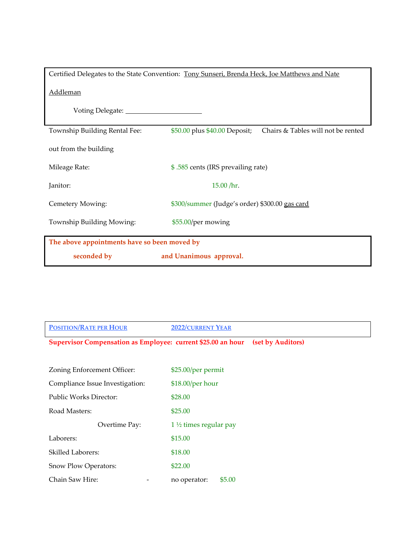| Certified Delegates to the State Convention: Tony Sunseri, Brenda Heck, Joe Matthews and Nate |                                                                     |  |
|-----------------------------------------------------------------------------------------------|---------------------------------------------------------------------|--|
| <b>Addleman</b>                                                                               |                                                                     |  |
|                                                                                               |                                                                     |  |
| Township Building Rental Fee:                                                                 | \$50.00 plus \$40.00 Deposit;<br>Chairs & Tables will not be rented |  |
| out from the building                                                                         |                                                                     |  |
| Mileage Rate:                                                                                 | \$.585 cents (IRS prevailing rate)                                  |  |
| Janitor:                                                                                      | 15.00 / hr.                                                         |  |
| Cemetery Mowing:                                                                              | \$300/summer (Judge's order) \$300.00 gas card                      |  |
| Township Building Mowing:                                                                     | \$55.00/per mowing                                                  |  |
| The above appointments have so been moved by                                                  |                                                                     |  |
| seconded by                                                                                   | and Unanimous approval.                                             |  |

| <b>POSITION/RATE PER HOUR</b>                                       | <b>2022/CURRENT YEAR</b>         |                   |
|---------------------------------------------------------------------|----------------------------------|-------------------|
| <b>Supervisor Compensation as Employee: current \$25.00 an hour</b> |                                  | (set by Auditors) |
|                                                                     |                                  |                   |
| Zoning Enforcement Officer:                                         | \$25.00/per permit               |                   |
| Compliance Issue Investigation:                                     | \$18.00/per hour                 |                   |
| <b>Public Works Director:</b>                                       | \$28.00                          |                   |
| Road Masters:                                                       | \$25.00                          |                   |
| Overtime Pay:                                                       | $1\frac{1}{2}$ times regular pay |                   |
| Laborers:                                                           | \$15.00                          |                   |
| <b>Skilled Laborers:</b>                                            | \$18.00                          |                   |
| Snow Plow Operators:                                                | \$22.00                          |                   |
| Chain Saw Hire:                                                     | \$5.00<br>no operator:           |                   |